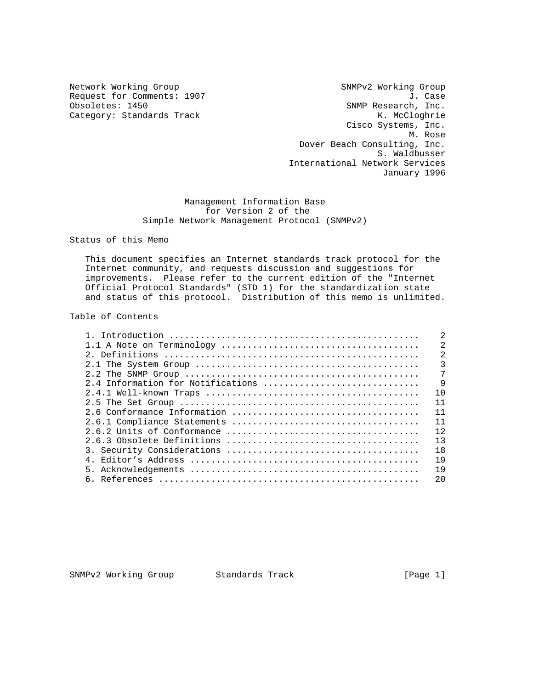Category: Standards Track

Network Working Group SNMPv2 Working Group Request for Comments: 1907 <br>
Obsoletes: 1450 <br>
Obsoletes: 1450 <br>
SNMP Research, Inc. SNMP Research, Inc.<br>K. McCloghrie Cisco Systems, Inc. M. Rose Dover Beach Consulting, Inc. S. Waldbusser International Network Services January 1996

## Management Information Base for Version 2 of the Simple Network Management Protocol (SNMPv2)

Status of this Memo

 This document specifies an Internet standards track protocol for the Internet community, and requests discussion and suggestions for improvements. Please refer to the current edition of the "Internet Official Protocol Standards" (STD 1) for the standardization state and status of this protocol. Distribution of this memo is unlimited.

## Table of Contents

|                                   | $\mathfrak{D}$ |
|-----------------------------------|----------------|
|                                   | $\overline{2}$ |
|                                   | $\overline{3}$ |
|                                   | 7              |
| 2.4 Information for Notifications | - 9            |
|                                   | 10             |
|                                   | 11             |
|                                   | 11             |
|                                   | 11             |
|                                   | 12             |
|                                   | 13             |
|                                   | 18             |
|                                   | 19             |
|                                   | 19             |
|                                   | 2.0            |

SNMPv2 Working Group Standards Track [Page 1]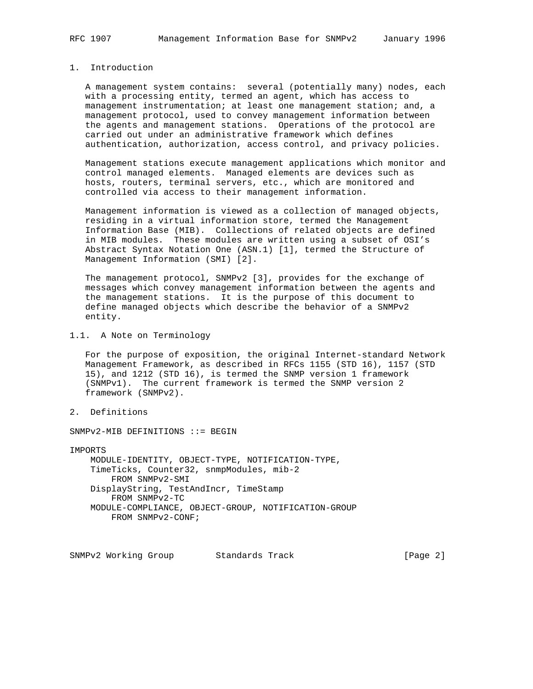## 1. Introduction

 A management system contains: several (potentially many) nodes, each with a processing entity, termed an agent, which has access to management instrumentation; at least one management station; and, a management protocol, used to convey management information between the agents and management stations. Operations of the protocol are carried out under an administrative framework which defines authentication, authorization, access control, and privacy policies.

 Management stations execute management applications which monitor and control managed elements. Managed elements are devices such as hosts, routers, terminal servers, etc., which are monitored and controlled via access to their management information.

 Management information is viewed as a collection of managed objects, residing in a virtual information store, termed the Management Information Base (MIB). Collections of related objects are defined in MIB modules. These modules are written using a subset of OSI's Abstract Syntax Notation One (ASN.1) [1], termed the Structure of Management Information (SMI) [2].

 The management protocol, SNMPv2 [3], provides for the exchange of messages which convey management information between the agents and the management stations. It is the purpose of this document to define managed objects which describe the behavior of a SNMPv2 entity.

1.1. A Note on Terminology

 For the purpose of exposition, the original Internet-standard Network Management Framework, as described in RFCs 1155 (STD 16), 1157 (STD 15), and 1212 (STD 16), is termed the SNMP version 1 framework (SNMPv1). The current framework is termed the SNMP version 2 framework (SNMPv2).

2. Definitions

SNMPv2-MIB DEFINITIONS ::= BEGIN

IMPORTS

 MODULE-IDENTITY, OBJECT-TYPE, NOTIFICATION-TYPE, TimeTicks, Counter32, snmpModules, mib-2 FROM SNMPv2-SMI DisplayString, TestAndIncr, TimeStamp FROM SNMPv2-TC MODULE-COMPLIANCE, OBJECT-GROUP, NOTIFICATION-GROUP FROM SNMPv2-CONF;

SNMPv2 Working Group Standards Track [Page 2]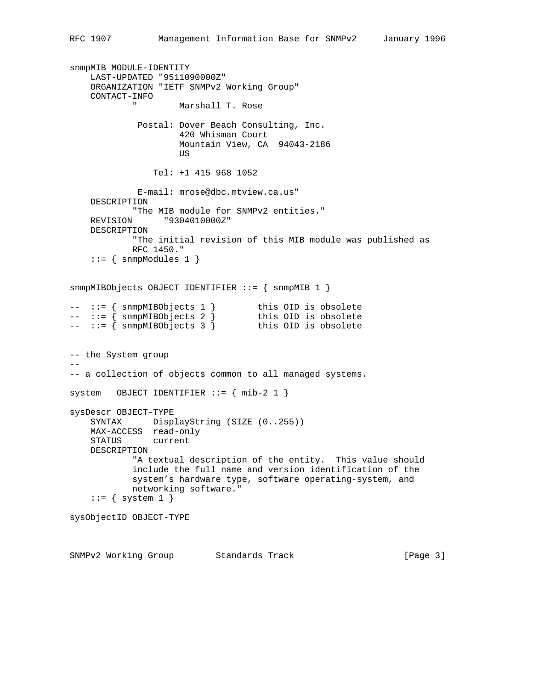```
snmpMIB MODULE-IDENTITY
     LAST-UPDATED "9511090000Z"
     ORGANIZATION "IETF SNMPv2 Working Group"
     CONTACT-INFO
                     Marshall T. Rose
              Postal: Dover Beach Consulting, Inc.
                       420 Whisman Court
                       Mountain View, CA 94043-2186
US DE L'ANGELIA DE L'ANGELIA DE L'ANGELIA DE L'ANGELIA DE L'ANGELIA DE L'ANGELIA DE L'ANGELIA DE L'ANGELIA DE
                  Tel: +1 415 968 1052
              E-mail: mrose@dbc.mtview.ca.us"
     DESCRIPTION
             "The MIB module for SNMPv2 entities."
     REVISION "9304010000Z"
     DESCRIPTION
             "The initial revision of this MIB module was published as
             RFC 1450."
    ::= { snmpModules 1 }
snmpMIBObjects OBJECT IDENTIFIER ::= { snmpMIB 1 }
-- ::= { snmpMIBObjects 1 } this OID is obsolete
-- ::= { snmpMIBObjects 2 } this OID is obsolete
-- ::= { snmpMIBObjects 3 } this OID is obsolete
-- the System group
--
-- a collection of objects common to all managed systems.
system OBJECT IDENTIFIER ::= { mib-2 1 }
sysDescr OBJECT-TYPE
     SYNTAX DisplayString (SIZE (0..255))
     MAX-ACCESS read-only
     STATUS current
     DESCRIPTION
             "A textual description of the entity. This value should
             include the full name and version identification of the
             system's hardware type, software operating-system, and
             networking software."
    ::= { system 1 }
sysObjectID OBJECT-TYPE
```
SNMPv2 Working Group Standards Track [Page 3]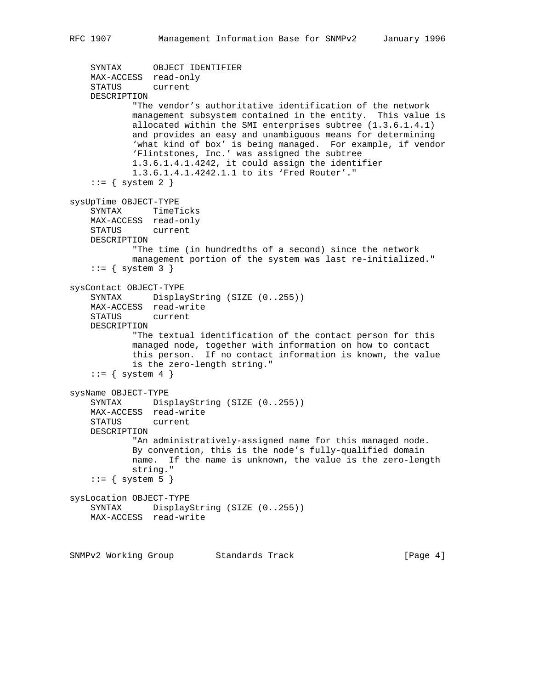```
 SYNTAX OBJECT IDENTIFIER
    MAX-ACCESS read-only
     STATUS current
    DESCRIPTION
             "The vendor's authoritative identification of the network
            management subsystem contained in the entity. This value is
            allocated within the SMI enterprises subtree (1.3.6.1.4.1)
            and provides an easy and unambiguous means for determining
             'what kind of box' is being managed. For example, if vendor
            'Flintstones, Inc.' was assigned the subtree
            1.3.6.1.4.1.4242, it could assign the identifier
            1.3.6.1.4.1.4242.1.1 to its 'Fred Router'."
    ::= { system 2 }
sysUpTime OBJECT-TYPE
     SYNTAX TimeTicks
    MAX-ACCESS read-only
    STATUS current
    DESCRIPTION
             "The time (in hundredths of a second) since the network
            management portion of the system was last re-initialized."
    ::= { system 3 }
sysContact OBJECT-TYPE
     SYNTAX DisplayString (SIZE (0..255))
    MAX-ACCESS read-write
     STATUS current
    DESCRIPTION
             "The textual identification of the contact person for this
            managed node, together with information on how to contact
            this person. If no contact information is known, the value
            is the zero-length string."
    ::= { system 4 }
sysName OBJECT-TYPE
     SYNTAX DisplayString (SIZE (0..255))
    MAX-ACCESS read-write
    STATUS current
    DESCRIPTION
             "An administratively-assigned name for this managed node.
            By convention, this is the node's fully-qualified domain
            name. If the name is unknown, the value is the zero-length
            string."
    ::= { system 5 }
sysLocation OBJECT-TYPE
   SYNTAX DisplayString (SIZE (0..255))
    MAX-ACCESS read-write
```
SNMPv2 Working Group Standards Track [Page 4]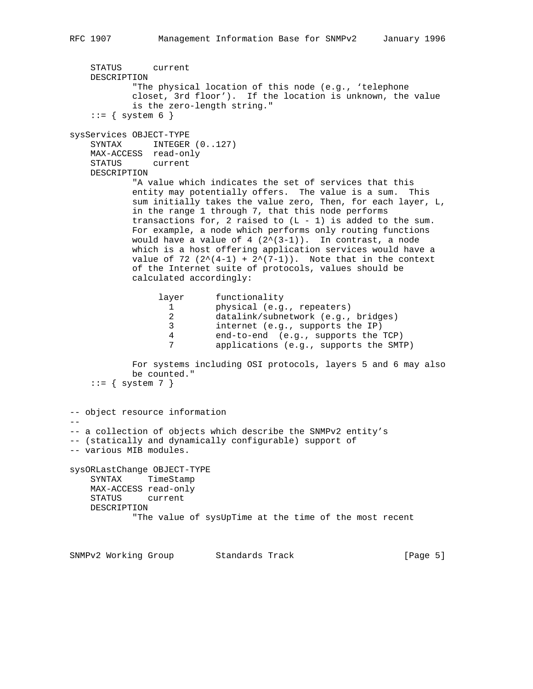```
 STATUS current
    DESCRIPTION
            "The physical location of this node (e.g., 'telephone
            closet, 3rd floor'). If the location is unknown, the value
            is the zero-length string."
   ::= { system 6 }
sysServices OBJECT-TYPE
   SYNTAX INTEGER (0..127) MAX-ACCESS read-only
    STATUS current
    DESCRIPTION
            "A value which indicates the set of services that this
            entity may potentially offers. The value is a sum. This
            sum initially takes the value zero, Then, for each layer, L,
            in the range 1 through 7, that this node performs
           transactions for, 2 raised to (L - 1) is added to the sum.
            For example, a node which performs only routing functions
           would have a value of 4 (2^{(3-1)}). In contrast, a node
            which is a host offering application services would have a
           value of 72 (2^{(4-1)} + 2^{(7-1)}). Note that in the context
            of the Internet suite of protocols, values should be
            calculated accordingly:
                 layer functionality
                   1 physical (e.g., repeaters)
 2 datalink/subnetwork (e.g., bridges)
 3 internet (e.g., supports the IP)
                   4 end-to-end (e.g., supports the TCP)
                   7 applications (e.g., supports the SMTP)
            For systems including OSI protocols, layers 5 and 6 may also
            be counted."
   ::= { system 7 }
-- object resource information
--
-- a collection of objects which describe the SNMPv2 entity's
-- (statically and dynamically configurable) support of
-- various MIB modules.
sysORLastChange OBJECT-TYPE
    SYNTAX TimeStamp
    MAX-ACCESS read-only
    STATUS current
    DESCRIPTION
            "The value of sysUpTime at the time of the most recent
SNMPv2 Working Group Standards Track [Page 5]
```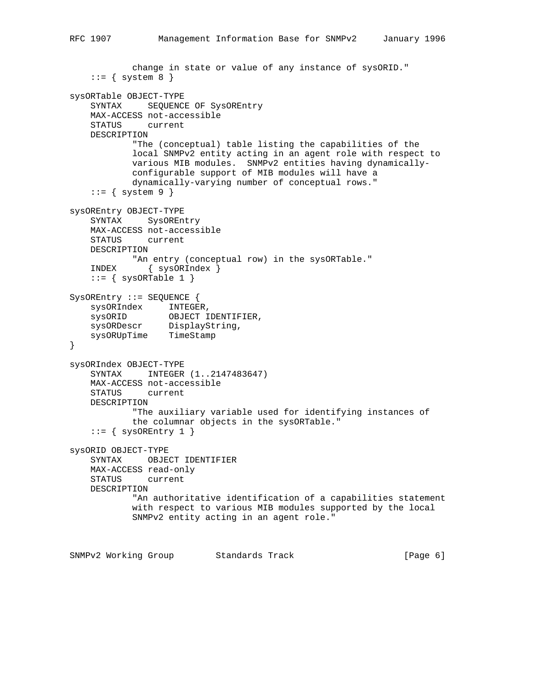```
 change in state or value of any instance of sysORID."
    ::= { system 8 }
sysORTable OBJECT-TYPE
    SYNTAX SEQUENCE OF SysOREntry
    MAX-ACCESS not-accessible
    STATUS current
    DESCRIPTION
            "The (conceptual) table listing the capabilities of the
            local SNMPv2 entity acting in an agent role with respect to
            various MIB modules. SNMPv2 entities having dynamically-
            configurable support of MIB modules will have a
            dynamically-varying number of conceptual rows."
    ::= { system 9 }
sysOREntry OBJECT-TYPE
    SYNTAX SysOREntry
    MAX-ACCESS not-accessible
    STATUS current
    DESCRIPTION
           "An entry (conceptual row) in the sysORTable."
    INDEX { sysORIndex }
   ::= { sysORTable 1 }
SysOREntry ::= SEQUENCE {
 sysORIndex INTEGER,
 sysORID OBJECT IDENTIFIER,
 sysORDescr DisplayString,
 sysORUpTime TimeStamp
}
sysORIndex OBJECT-TYPE
    SYNTAX INTEGER (1..2147483647)
    MAX-ACCESS not-accessible
    STATUS current
    DESCRIPTION
            "The auxiliary variable used for identifying instances of
            the columnar objects in the sysORTable."
    ::= { sysOREntry 1 }
sysORID OBJECT-TYPE
    SYNTAX OBJECT IDENTIFIER
    MAX-ACCESS read-only
    STATUS current
    DESCRIPTION
            "An authoritative identification of a capabilities statement
            with respect to various MIB modules supported by the local
            SNMPv2 entity acting in an agent role."
```
SNMPv2 Working Group Standards Track [Page 6]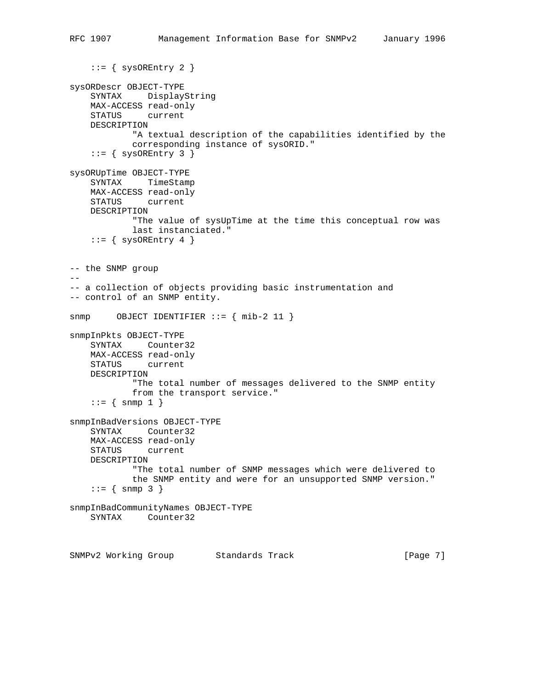```
::= { sysOREntry 2 }
sysORDescr OBJECT-TYPE
    SYNTAX DisplayString
    MAX-ACCESS read-only
    STATUS current
    DESCRIPTION
            "A textual description of the capabilities identified by the
            corresponding instance of sysORID."
    ::= { sysOREntry 3 }
sysORUpTime OBJECT-TYPE
    SYNTAX TimeStamp
    MAX-ACCESS read-only
    STATUS current
    DESCRIPTION
            "The value of sysUpTime at the time this conceptual row was
            last instanciated."
    ::= { sysOREntry 4 }
-- the SNMP group
-\frac{1}{2}-- a collection of objects providing basic instrumentation and
-- control of an SNMP entity.
snmp OBJECT IDENTIFIER ::= { mib-2 11 }
snmpInPkts OBJECT-TYPE
    SYNTAX Counter32
    MAX-ACCESS read-only
    STATUS current
    DESCRIPTION
            "The total number of messages delivered to the SNMP entity
            from the transport service."
   ::= { snmp 1 }
snmpInBadVersions OBJECT-TYPE
    SYNTAX Counter32
    MAX-ACCESS read-only
    STATUS current
    DESCRIPTION
            "The total number of SNMP messages which were delivered to
            the SNMP entity and were for an unsupported SNMP version."
    ::= { snmp 3 }
snmpInBadCommunityNames OBJECT-TYPE
    SYNTAX Counter32
SNMPv2 Working Group Standards Track [Page 7]
```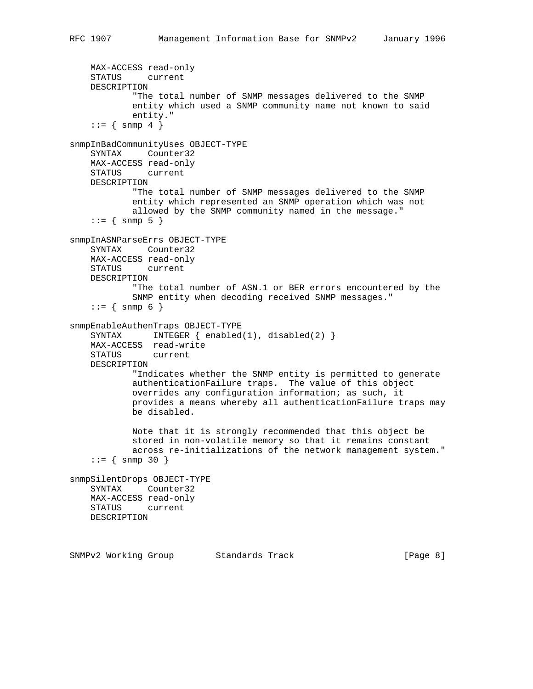```
 MAX-ACCESS read-only
     STATUS current
    DESCRIPTION
             "The total number of SNMP messages delivered to the SNMP
             entity which used a SNMP community name not known to said
             entity."
    ::= { snmp 4 }
snmpInBadCommunityUses OBJECT-TYPE
    SYNTAX Counter32
    MAX-ACCESS read-only
    STATUS current
    DESCRIPTION
            "The total number of SNMP messages delivered to the SNMP
             entity which represented an SNMP operation which was not
             allowed by the SNMP community named in the message."
    : := \{ \text{snmp } 5 \}snmpInASNParseErrs OBJECT-TYPE
    SYNTAX Counter32
    MAX-ACCESS read-only
    STATUS current
    DESCRIPTION
             "The total number of ASN.1 or BER errors encountered by the
             SNMP entity when decoding received SNMP messages."
    ::= { \text{snmp 6 } }snmpEnableAuthenTraps OBJECT-TYPE
   SYNTAX INTEGER { enabled(1), disabled(2) }
    MAX-ACCESS read-write
    STATUS current
    DESCRIPTION
             "Indicates whether the SNMP entity is permitted to generate
             authenticationFailure traps. The value of this object
             overrides any configuration information; as such, it
             provides a means whereby all authenticationFailure traps may
             be disabled.
             Note that it is strongly recommended that this object be
             stored in non-volatile memory so that it remains constant
             across re-initializations of the network management system."
    : := \{ \text{snmp } 30 \}snmpSilentDrops OBJECT-TYPE
    SYNTAX Counter32
    MAX-ACCESS read-only
    STATUS current
    DESCRIPTION
```
SNMPv2 Working Group Standards Track [Page 8]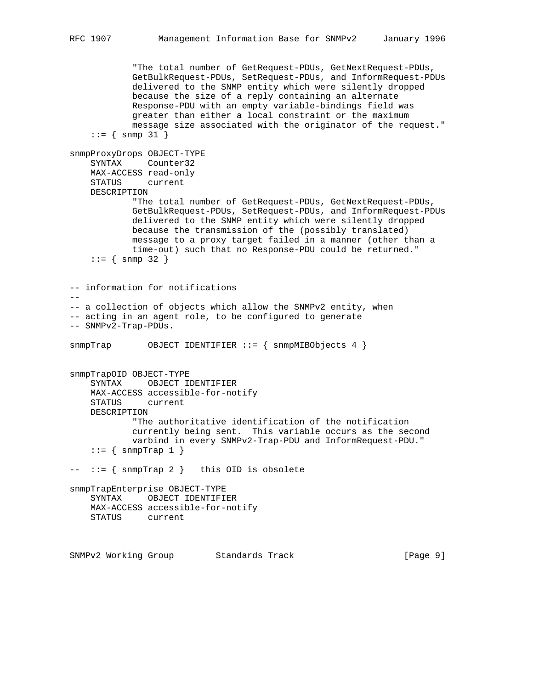"The total number of GetRequest-PDUs, GetNextRequest-PDUs, GetBulkRequest-PDUs, SetRequest-PDUs, and InformRequest-PDUs delivered to the SNMP entity which were silently dropped because the size of a reply containing an alternate Response-PDU with an empty variable-bindings field was greater than either a local constraint or the maximum message size associated with the originator of the request."  $::=$  { snmp 31 } snmpProxyDrops OBJECT-TYPE SYNTAX Counter32 MAX-ACCESS read-only STATUS current DESCRIPTION "The total number of GetRequest-PDUs, GetNextRequest-PDUs, GetBulkRequest-PDUs, SetRequest-PDUs, and InformRequest-PDUs delivered to the SNMP entity which were silently dropped because the transmission of the (possibly translated) message to a proxy target failed in a manner (other than a time-out) such that no Response-PDU could be returned."  $::=$  { snmp 32 } -- information for notifications  $-$ -- a collection of objects which allow the SNMPv2 entity, when -- acting in an agent role, to be configured to generate -- SNMPv2-Trap-PDUs. snmpTrap OBJECT IDENTIFIER ::= { snmpMIBObjects 4 } snmpTrapOID OBJECT-TYPE SYNTAX OBJECT IDENTIFIER MAX-ACCESS accessible-for-notify STATUS current DESCRIPTION "The authoritative identification of the notification currently being sent. This variable occurs as the second varbind in every SNMPv2-Trap-PDU and InformRequest-PDU."  $::=$  { snmpTrap 1 } -- ::= { snmpTrap 2 } this OID is obsolete snmpTrapEnterprise OBJECT-TYPE SYNTAX OBJECT IDENTIFIER MAX-ACCESS accessible-for-notify STATUS current SNMPv2 Working Group Standards Track [Page 9]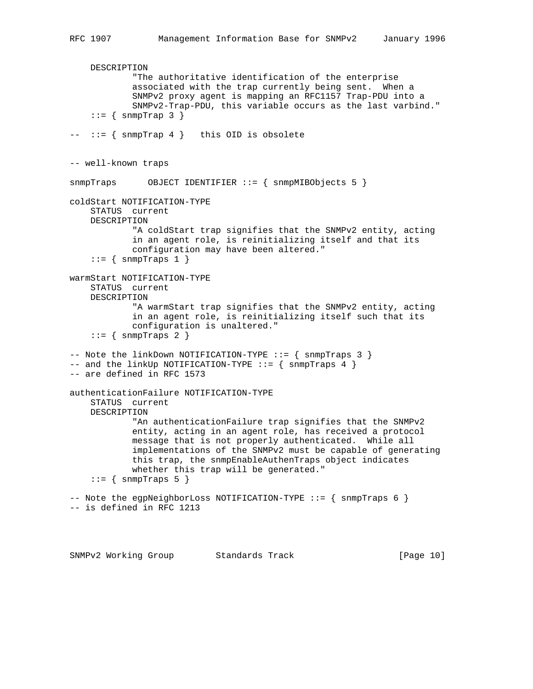DESCRIPTION "The authoritative identification of the enterprise associated with the trap currently being sent. When a SNMPv2 proxy agent is mapping an RFC1157 Trap-PDU into a SNMPv2-Trap-PDU, this variable occurs as the last varbind."  $::=$  { snmpTrap 3 }  $--- := \{$  snmpTrap 4  $\}$  this OID is obsolete -- well-known traps snmpTraps OBJECT IDENTIFIER ::= { snmpMIBObjects 5 } coldStart NOTIFICATION-TYPE STATUS current DESCRIPTION "A coldStart trap signifies that the SNMPv2 entity, acting in an agent role, is reinitializing itself and that its configuration may have been altered."  $::=$  { snmpTraps 1 } warmStart NOTIFICATION-TYPE STATUS current DESCRIPTION "A warmStart trap signifies that the SNMPv2 entity, acting in an agent role, is reinitializing itself such that its configuration is unaltered."  $::=$  { snmpTraps 2 } -- Note the linkDown NOTIFICATION-TYPE ::= { snmpTraps 3 } -- and the linkUp NOTIFICATION-TYPE  $::=$  { snmpTraps 4 } -- are defined in RFC 1573 authenticationFailure NOTIFICATION-TYPE STATUS current DESCRIPTION "An authenticationFailure trap signifies that the SNMPv2 entity, acting in an agent role, has received a protocol message that is not properly authenticated. While all implementations of the SNMPv2 must be capable of generating this trap, the snmpEnableAuthenTraps object indicates whether this trap will be generated."  $::=$  { snmpTraps 5 } -- Note the egpNeighborLoss NOTIFICATION-TYPE ::= { snmpTraps 6 } -- is defined in RFC 1213

SNMPv2 Working Group Standards Track [Page 10]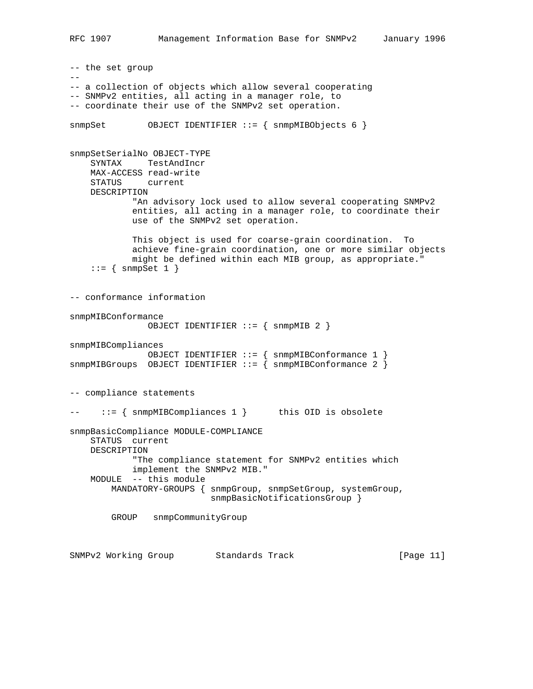```
-- the set group
-\,--- a collection of objects which allow several cooperating
-- SNMPv2 entities, all acting in a manager role, to
-- coordinate their use of the SNMPv2 set operation.
snmpSet OBJECT IDENTIFIER ::= { snmpMIBObjects 6 }
snmpSetSerialNo OBJECT-TYPE
    SYNTAX TestAndIncr
    MAX-ACCESS read-write
    STATUS current
    DESCRIPTION
            "An advisory lock used to allow several cooperating SNMPv2
            entities, all acting in a manager role, to coordinate their
            use of the SNMPv2 set operation.
            This object is used for coarse-grain coordination. To
            achieve fine-grain coordination, one or more similar objects
            might be defined within each MIB group, as appropriate."
    ::= { snmpSet 1 }
-- conformance information
snmpMIBConformance
               OBJECT IDENTIFIER ::= { snmpMIB 2 }
snmpMIBCompliances
              OBJECT IDENTIFIER ::= { snmpMIBConformance 1 }
snmpMIBGroups OBJECT IDENTIFIER ::= { snmpMIBConformance 2 }
-- compliance statements
-- ::= { snmpMIBCompliances 1 } this OID is obsolete
snmpBasicCompliance MODULE-COMPLIANCE
    STATUS current
    DESCRIPTION
            "The compliance statement for SNMPv2 entities which
            implement the SNMPv2 MIB."
    MODULE -- this module
        MANDATORY-GROUPS { snmpGroup, snmpSetGroup, systemGroup,
                           snmpBasicNotificationsGroup }
        GROUP snmpCommunityGroup
SNMPv2 Working Group Standards Track [Page 11]
```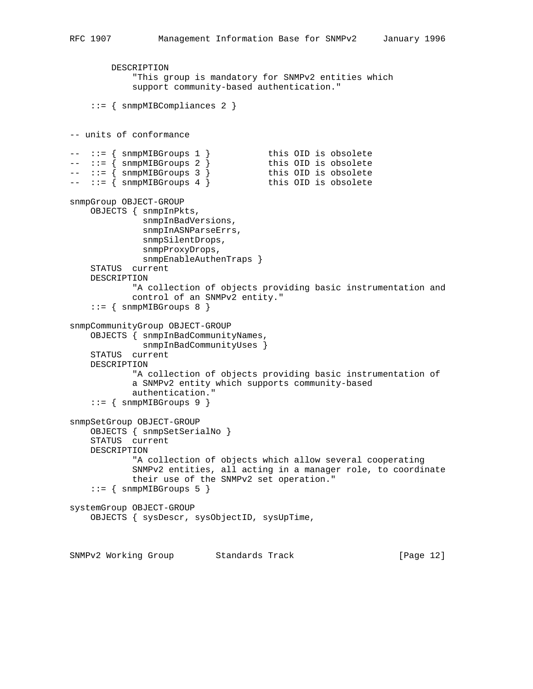```
 DESCRIPTION
            "This group is mandatory for SNMPv2 entities which
            support community-based authentication."
     ::= { snmpMIBCompliances 2 }
-- units of conformance
-- ::= { snmpMIBGroups 1 } this OID is obsolete
-- ::= { snmpMIBGroups 2 } this OID is obsolete
-- ::= { snmpMIBGroups 3 } this OID is obsolete
-- ::= { snmpMIBGroups 4 } this OID is obsolete
snmpGroup OBJECT-GROUP
    OBJECTS { snmpInPkts,
              snmpInBadVersions,
              snmpInASNParseErrs,
              snmpSilentDrops,
              snmpProxyDrops,
              snmpEnableAuthenTraps }
    STATUS current
    DESCRIPTION
            "A collection of objects providing basic instrumentation and
            control of an SNMPv2 entity."
    ::= { snmpMIBGroups 8 }
snmpCommunityGroup OBJECT-GROUP
    OBJECTS { snmpInBadCommunityNames,
              snmpInBadCommunityUses }
    STATUS current
    DESCRIPTION
            "A collection of objects providing basic instrumentation of
            a SNMPv2 entity which supports community-based
            authentication."
    ::= { snmpMIBGroups 9 }
snmpSetGroup OBJECT-GROUP
    OBJECTS { snmpSetSerialNo }
    STATUS current
    DESCRIPTION
            "A collection of objects which allow several cooperating
            SNMPv2 entities, all acting in a manager role, to coordinate
            their use of the SNMPv2 set operation."
     ::= { snmpMIBGroups 5 }
systemGroup OBJECT-GROUP
    OBJECTS { sysDescr, sysObjectID, sysUpTime,
SNMPv2 Working Group Standards Track [Page 12]
```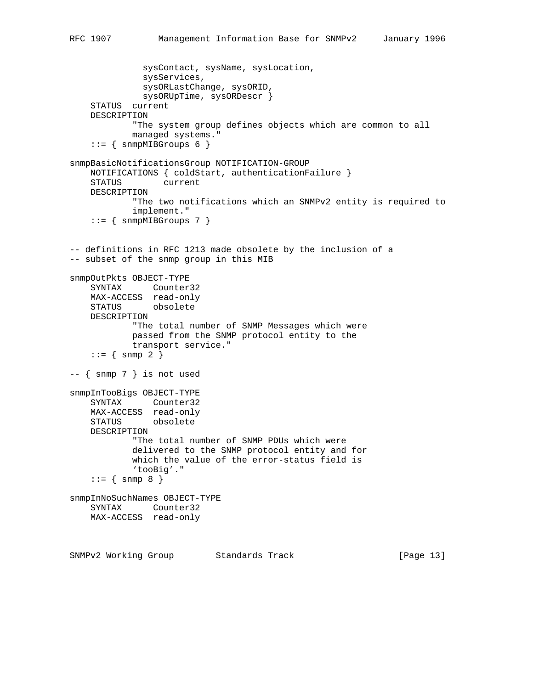```
 sysContact, sysName, sysLocation,
               sysServices,
               sysORLastChange, sysORID,
               sysORUpTime, sysORDescr }
     STATUS current
    DESCRIPTION
             "The system group defines objects which are common to all
             managed systems."
    ::= { snmpMIBGroups 6 }
snmpBasicNotificationsGroup NOTIFICATION-GROUP
    NOTIFICATIONS { coldStart, authenticationFailure }
     STATUS current
    DESCRIPTION
             "The two notifications which an SNMPv2 entity is required to
             implement."
    ::= { snmpMIBGroups 7 }
-- definitions in RFC 1213 made obsolete by the inclusion of a
-- subset of the snmp group in this MIB
snmpOutPkts OBJECT-TYPE
    SYNTAX Counter32
    MAX-ACCESS read-only
    STATUS obsolete
    DESCRIPTION
             "The total number of SNMP Messages which were
             passed from the SNMP protocol entity to the
             transport service."
    ::= { snmp 2 }
-- { snmp 7 } is not used
snmpInTooBigs OBJECT-TYPE
    SYNTAX Counter32
    MAX-ACCESS read-only
    STATUS obsolete
    DESCRIPTION
             "The total number of SNMP PDUs which were
             delivered to the SNMP protocol entity and for
             which the value of the error-status field is
             'tooBig'."
    : := \{ \text{snmp } 8 \}snmpInNoSuchNames OBJECT-TYPE
    SYNTAX Counter32
    MAX-ACCESS read-only
```
SNMPv2 Working Group Standards Track [Page 13]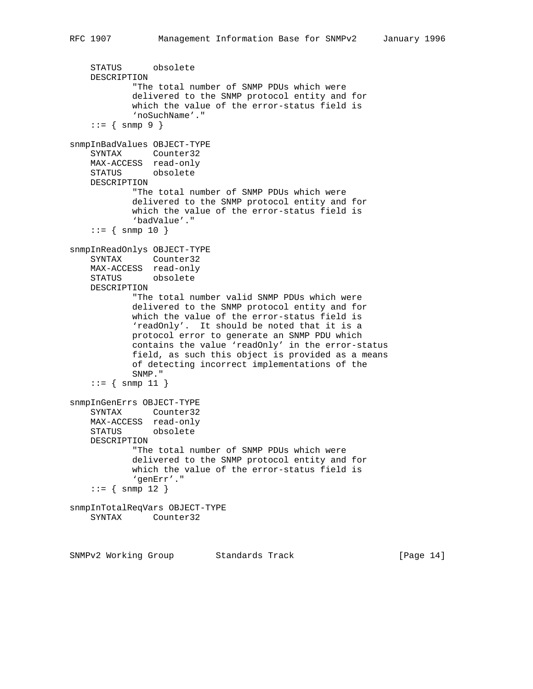```
 STATUS obsolete
    DESCRIPTION
             "The total number of SNMP PDUs which were
             delivered to the SNMP protocol entity and for
             which the value of the error-status field is
             'noSuchName'."
    : := \{ \text{snmp } 9 \}snmpInBadValues OBJECT-TYPE
    SYNTAX Counter32
    MAX-ACCESS read-only
    STATUS obsolete
    DESCRIPTION
            "The total number of SNMP PDUs which were
             delivered to the SNMP protocol entity and for
             which the value of the error-status field is
             'badValue'."
    : := \{ \text{snmp } 10 \}snmpInReadOnlys OBJECT-TYPE
    SYNTAX Counter32
    MAX-ACCESS read-only
    STATUS obsolete
    DESCRIPTION
             "The total number valid SNMP PDUs which were
             delivered to the SNMP protocol entity and for
             which the value of the error-status field is
             'readOnly'. It should be noted that it is a
             protocol error to generate an SNMP PDU which
             contains the value 'readOnly' in the error-status
             field, as such this object is provided as a means
             of detecting incorrect implementations of the
             SNMP."
    ::= { snmp 11 }
snmpInGenErrs OBJECT-TYPE
    SYNTAX Counter32
    MAX-ACCESS read-only
    STATUS obsolete
    DESCRIPTION
             "The total number of SNMP PDUs which were
             delivered to the SNMP protocol entity and for
             which the value of the error-status field is
             'genErr'."
    : := \{ \text{snmp } 12 \}snmpInTotalReqVars OBJECT-TYPE
    SYNTAX Counter32
```
SNMPv2 Working Group Standards Track [Page 14]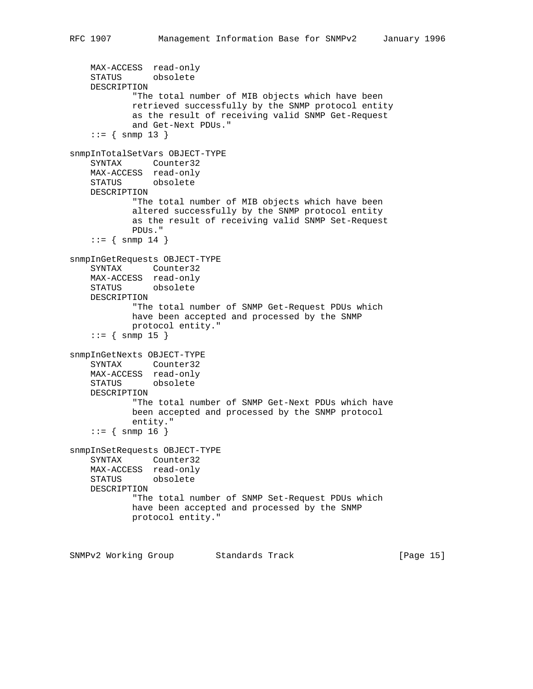```
 MAX-ACCESS read-only
     STATUS obsolete
    DESCRIPTION
             "The total number of MIB objects which have been
             retrieved successfully by the SNMP protocol entity
             as the result of receiving valid SNMP Get-Request
            and Get-Next PDUs."
    ::= { snmp 13 }
snmpInTotalSetVars OBJECT-TYPE
    SYNTAX Counter32
    MAX-ACCESS read-only
    STATUS obsolete
    DESCRIPTION
            "The total number of MIB objects which have been
            altered successfully by the SNMP protocol entity
             as the result of receiving valid SNMP Set-Request
            PDUs."
    : := \{ \text{snmp } 14 \}snmpInGetRequests OBJECT-TYPE
     SYNTAX Counter32
    MAX-ACCESS read-only
    STATUS obsolete
    DESCRIPTION
            "The total number of SNMP Get-Request PDUs which
             have been accepted and processed by the SNMP
            protocol entity."
    ::= { snmp 15 }
snmpInGetNexts OBJECT-TYPE
    SYNTAX Counter32
    MAX-ACCESS read-only
    STATUS obsolete
    DESCRIPTION
             "The total number of SNMP Get-Next PDUs which have
            been accepted and processed by the SNMP protocol
            entity."
    : := \{ \text{snmp } 16 \}snmpInSetRequests OBJECT-TYPE
    SYNTAX Counter32
    MAX-ACCESS read-only
    STATUS obsolete
    DESCRIPTION
             "The total number of SNMP Set-Request PDUs which
            have been accepted and processed by the SNMP
            protocol entity."
```
SNMPv2 Working Group Standards Track [Page 15]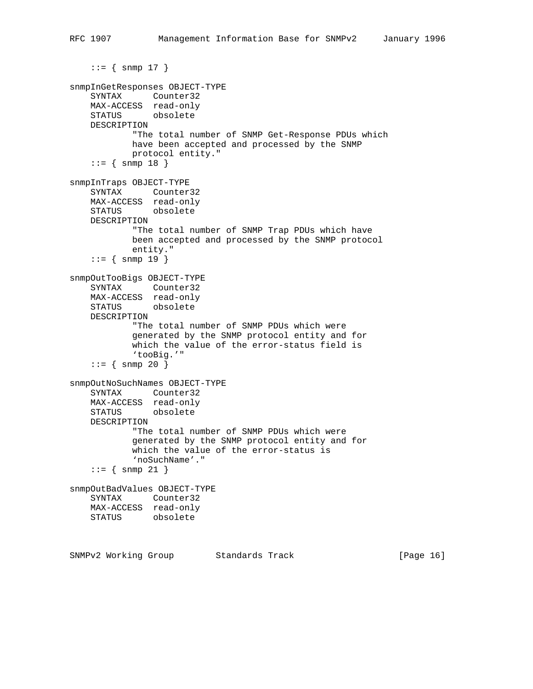```
::= { snmp 17 }
snmpInGetResponses OBJECT-TYPE
    SYNTAX Counter32
    MAX-ACCESS read-only
    STATUS obsolete
    DESCRIPTION
             "The total number of SNMP Get-Response PDUs which
             have been accepted and processed by the SNMP
             protocol entity."
    : := \{ \text{snmp } 18 \}snmpInTraps OBJECT-TYPE
     SYNTAX Counter32
    MAX-ACCESS read-only
    STATUS obsolete
    DESCRIPTION
             "The total number of SNMP Trap PDUs which have
             been accepted and processed by the SNMP protocol
             entity."
    : := \{ \text{snmp } 19 \}snmpOutTooBigs OBJECT-TYPE
     SYNTAX Counter32
    MAX-ACCESS read-only
    STATUS obsolete
    DESCRIPTION
             "The total number of SNMP PDUs which were
             generated by the SNMP protocol entity and for
             which the value of the error-status field is
             'tooBig.'"
    : := \{ \text{snmp } 20 \}snmpOutNoSuchNames OBJECT-TYPE
    SYNTAX Counter32
    MAX-ACCESS read-only
    STATUS obsolete
    DESCRIPTION
             "The total number of SNMP PDUs which were
             generated by the SNMP protocol entity and for
             which the value of the error-status is
             'noSuchName'."
     ::= { snmp 21 }
snmpOutBadValues OBJECT-TYPE
    SYNTAX Counter32
    MAX-ACCESS read-only
    STATUS obsolete
```
SNMPv2 Working Group Standards Track [Page 16]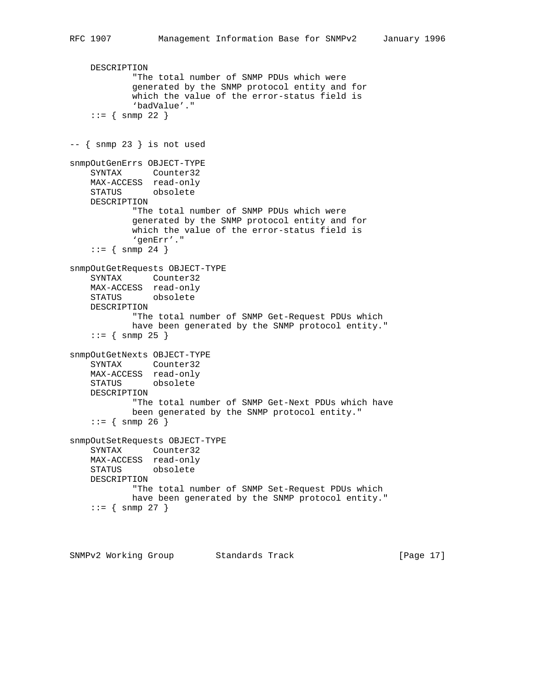```
 DESCRIPTION
             "The total number of SNMP PDUs which were
             generated by the SNMP protocol entity and for
             which the value of the error-status field is
             'badValue'."
    : := \{ \text{snmp } 22 \}-- { snmp 23 } is not used
snmpOutGenErrs OBJECT-TYPE
     SYNTAX Counter32
    MAX-ACCESS read-only
     STATUS obsolete
     DESCRIPTION
             "The total number of SNMP PDUs which were
             generated by the SNMP protocol entity and for
             which the value of the error-status field is
             'genErr'."
    : := \{ \text{snmp } 24 \}snmpOutGetRequests OBJECT-TYPE
     SYNTAX Counter32
    MAX-ACCESS read-only
    STATUS obsolete
     DESCRIPTION
             "The total number of SNMP Get-Request PDUs which
             have been generated by the SNMP protocol entity."
    : := \{ \text{snmp } 25 \}snmpOutGetNexts OBJECT-TYPE
     SYNTAX Counter32
     MAX-ACCESS read-only
     STATUS obsolete
     DESCRIPTION
             "The total number of SNMP Get-Next PDUs which have
             been generated by the SNMP protocol entity."
    ::= { snmp 26 }
snmpOutSetRequests OBJECT-TYPE
     SYNTAX Counter32
     MAX-ACCESS read-only
    STATUS obsolete
     DESCRIPTION
             "The total number of SNMP Set-Request PDUs which
             have been generated by the SNMP protocol entity."
    : := \{ \text{snmp } 27 \}
```
SNMPv2 Working Group Standards Track [Page 17]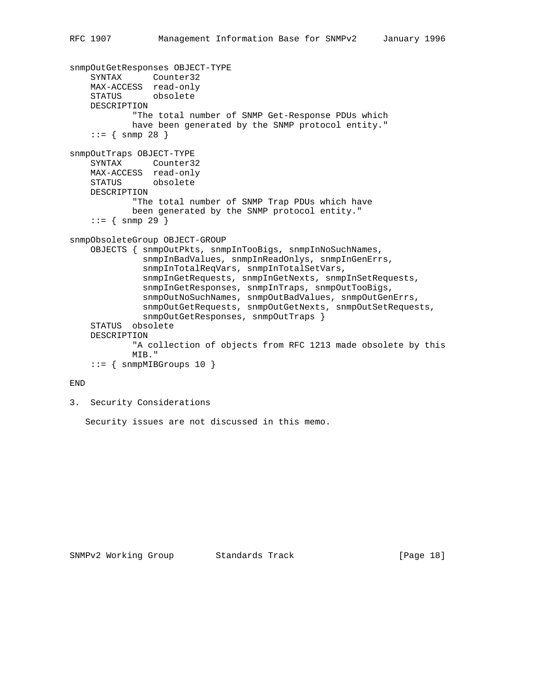```
snmpOutGetResponses OBJECT-TYPE
     SYNTAX Counter32
    MAX-ACCESS read-only
     STATUS obsolete
    DESCRIPTION
             "The total number of SNMP Get-Response PDUs which
             have been generated by the SNMP protocol entity."
    ::= { snmp 28 }
snmpOutTraps OBJECT-TYPE
    SYNTAX Counter32
    MAX-ACCESS read-only
    STATUS obsolete
    DESCRIPTION
            "The total number of SNMP Trap PDUs which have
             been generated by the SNMP protocol entity."
    : := \{ \text{snmp } 29 \}snmpObsoleteGroup OBJECT-GROUP
     OBJECTS { snmpOutPkts, snmpInTooBigs, snmpInNoSuchNames,
               snmpInBadValues, snmpInReadOnlys, snmpInGenErrs,
               snmpInTotalReqVars, snmpInTotalSetVars,
               snmpInGetRequests, snmpInGetNexts, snmpInSetRequests,
               snmpInGetResponses, snmpInTraps, snmpOutTooBigs,
               snmpOutNoSuchNames, snmpOutBadValues, snmpOutGenErrs,
               snmpOutGetRequests, snmpOutGetNexts, snmpOutSetRequests,
               snmpOutGetResponses, snmpOutTraps }
     STATUS obsolete
    DESCRIPTION
             "A collection of objects from RFC 1213 made obsolete by this
             MIB."
    ::= { snmpMIBGroups 10 }
```
## END

3. Security Considerations

Security issues are not discussed in this memo.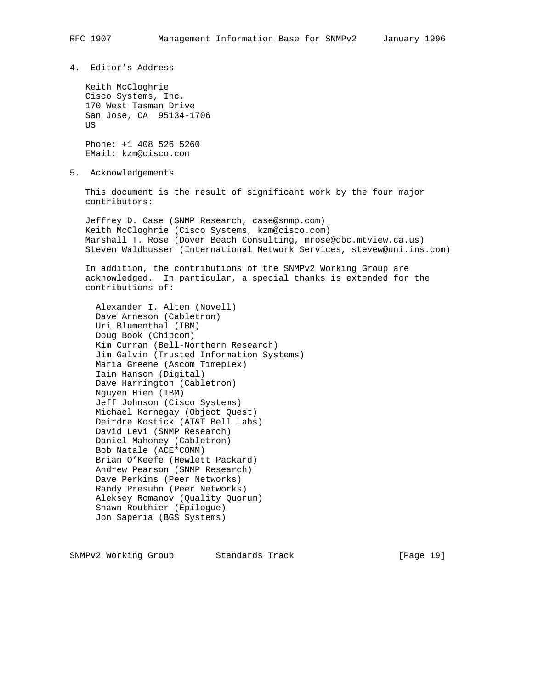4. Editor's Address

 Keith McCloghrie Cisco Systems, Inc. 170 West Tasman Drive San Jose, CA 95134-1706 **US** 

 Phone: +1 408 526 5260 EMail: kzm@cisco.com

5. Acknowledgements

 This document is the result of significant work by the four major contributors:

 Jeffrey D. Case (SNMP Research, case@snmp.com) Keith McCloghrie (Cisco Systems, kzm@cisco.com) Marshall T. Rose (Dover Beach Consulting, mrose@dbc.mtview.ca.us) Steven Waldbusser (International Network Services, stevew@uni.ins.com)

 In addition, the contributions of the SNMPv2 Working Group are acknowledged. In particular, a special thanks is extended for the contributions of:

 Alexander I. Alten (Novell) Dave Arneson (Cabletron) Uri Blumenthal (IBM) Doug Book (Chipcom) Kim Curran (Bell-Northern Research) Jim Galvin (Trusted Information Systems) Maria Greene (Ascom Timeplex) Iain Hanson (Digital) Dave Harrington (Cabletron) Nguyen Hien (IBM) Jeff Johnson (Cisco Systems) Michael Kornegay (Object Quest) Deirdre Kostick (AT&T Bell Labs) David Levi (SNMP Research) Daniel Mahoney (Cabletron) Bob Natale (ACE\*COMM) Brian O'Keefe (Hewlett Packard) Andrew Pearson (SNMP Research) Dave Perkins (Peer Networks) Randy Presuhn (Peer Networks) Aleksey Romanov (Quality Quorum) Shawn Routhier (Epilogue) Jon Saperia (BGS Systems)

SNMPv2 Working Group Standards Track [Page 19]